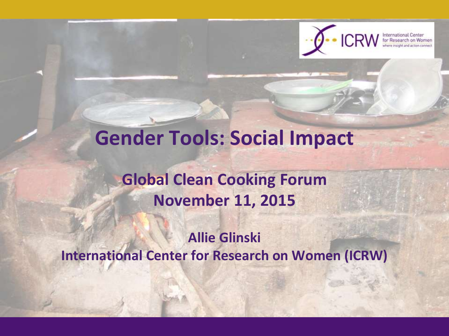

## **Gender Tools: Social Impact**

#### **Global Clean Cooking Forum November 11, 2015**

#### **Allie Glinski International Center for Research on Women (ICRW)**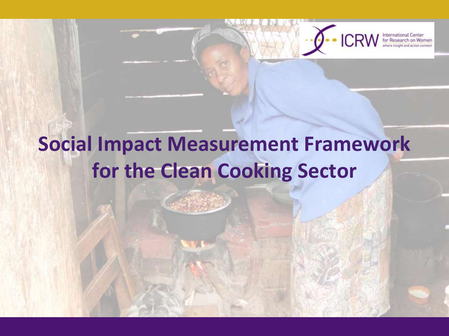

International Center<br>for Research on Women

## **Social Impact Measurement Framework for the Clean Cooking Sector**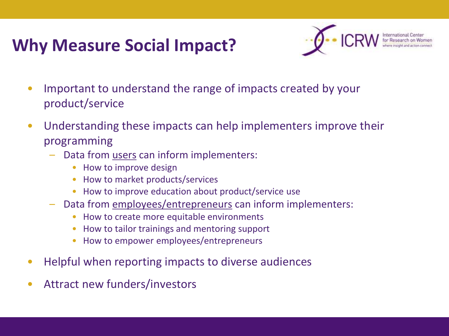### **Why Measure Social Impact?**



- Important to understand the range of impacts created by your product/service
- Understanding these impacts can help implementers improve their programming
	- Data from users can inform implementers:
		- How to improve design
		- How to market products/services
		- How to improve education about product/service use
	- Data from employees/entrepreneurs can inform implementers:
		- How to create more equitable environments
		- How to tailor trainings and mentoring support
		- How to empower employees/entrepreneurs
- Helpful when reporting impacts to diverse audiences
- Attract new funders/investors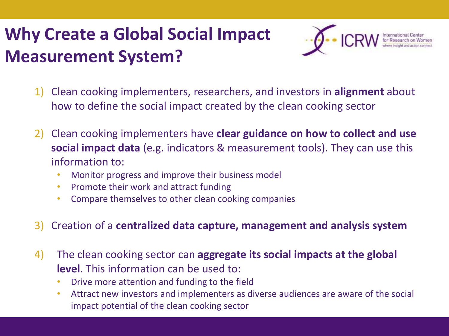## **Why Create a Global Social Impact Measurement System?**



- 1) Clean cooking implementers, researchers, and investors in **alignment** about how to define the social impact created by the clean cooking sector
- 2) Clean cooking implementers have **clear guidance on how to collect and use social impact data** (e.g. indicators & measurement tools). They can use this information to:
	- Monitor progress and improve their business model
	- Promote their work and attract funding
	- Compare themselves to other clean cooking companies
- 3) Creation of a **centralized data capture, management and analysis system**
- 4) The clean cooking sector can **aggregate its social impacts at the global level**. This information can be used to:
	- Drive more attention and funding to the field
	- Attract new investors and implementers as diverse audiences are aware of the social impact potential of the clean cooking sector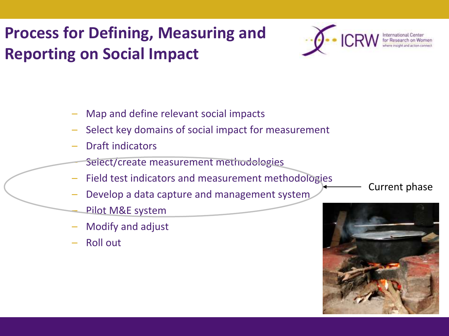### **Process for Defining, Measuring and Reporting on Social Impact**



- Map and define relevant social impacts
- Select key domains of social impact for measurement
- Draft indicators
	- Select/create measurement methodologies
- Field test indicators and measurement methodologies
- Develop a data capture and management system
	- Pilot M&E system
- Modify and adjust
- Roll out

Current phase

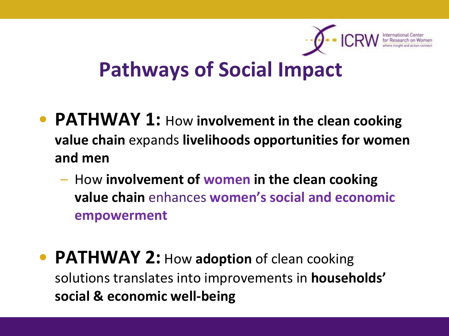

## **Pathways of Social Impact**

- **PATHWAY 1:** How **involvement in the clean cooking value chain** expands **livelihoods opportunities for women and men**
	- How **involvement of women in the clean cooking value chain** enhances **women's social and economic empowerment**
- **PATHWAY 2:** How adoption of clean cooking solutions translates into improvements in **households' social & economic well-being**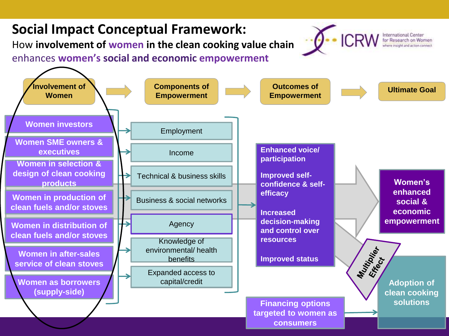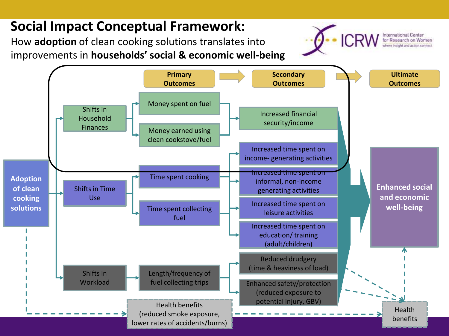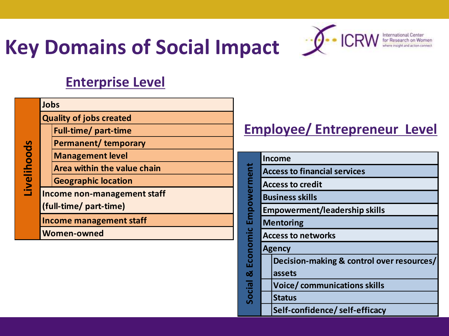# **Key Domains of Social Impact**  $\mathscr{I}$  **CRW**



International Center<br>for Research on Wor

#### **Enterprise Level**

|             | Jobs                           |                             |  |  |  |  |  |  |
|-------------|--------------------------------|-----------------------------|--|--|--|--|--|--|
| Livelihoods | <b>Quality of jobs created</b> |                             |  |  |  |  |  |  |
|             |                                | <b>Full-time/ part-time</b> |  |  |  |  |  |  |
|             |                                | <b>Permanent/ temporary</b> |  |  |  |  |  |  |
|             |                                | <b>Management level</b>     |  |  |  |  |  |  |
|             |                                | Area within the value chain |  |  |  |  |  |  |
|             |                                | <b>Geographic location</b>  |  |  |  |  |  |  |
|             | Income non-management staff    |                             |  |  |  |  |  |  |
|             | (full-time/ part-time)         |                             |  |  |  |  |  |  |
|             | <b>Income management staff</b> |                             |  |  |  |  |  |  |
|             | <b>Women-owned</b>             |                             |  |  |  |  |  |  |
|             |                                |                             |  |  |  |  |  |  |

#### **Employee/ Entrepreneur Level**

|             |                                      | <b>Income</b>                             |  |  |  |  |  |  |  |
|-------------|--------------------------------------|-------------------------------------------|--|--|--|--|--|--|--|
| Empowerment | <b>Access to financial services</b>  |                                           |  |  |  |  |  |  |  |
|             |                                      | <b>Access to credit</b>                   |  |  |  |  |  |  |  |
|             | <b>Business skills</b>               |                                           |  |  |  |  |  |  |  |
|             | <b>Empowerment/leadership skills</b> |                                           |  |  |  |  |  |  |  |
|             | <b>Mentoring</b>                     |                                           |  |  |  |  |  |  |  |
| Economic    | <b>Access to networks</b>            |                                           |  |  |  |  |  |  |  |
|             |                                      | <b>Agency</b>                             |  |  |  |  |  |  |  |
|             |                                      | Decision-making & control over resources/ |  |  |  |  |  |  |  |
| ಠ           |                                      | assets                                    |  |  |  |  |  |  |  |
|             | <b>Voice/communications skills</b>   |                                           |  |  |  |  |  |  |  |
| Social      |                                      | <b>Status</b>                             |  |  |  |  |  |  |  |
|             |                                      | Self-confidence/self-efficacy             |  |  |  |  |  |  |  |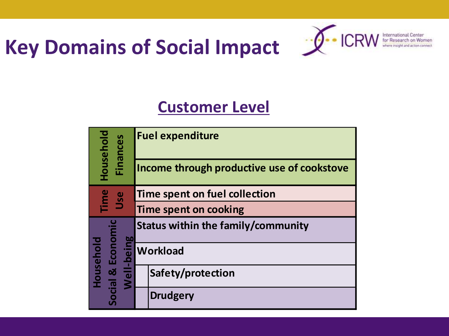# **Key Domains of Social Impact**  $\mathscr{L}$  **CRW**



#### **Customer Level**

| Household<br><b>Finances</b>                 | <b>Fuel expenditure</b>                    |  |  |  |  |  |  |
|----------------------------------------------|--------------------------------------------|--|--|--|--|--|--|
|                                              | Income through productive use of cookstove |  |  |  |  |  |  |
| Time<br>Use                                  | Time spent on fuel collection              |  |  |  |  |  |  |
|                                              | Time spent on cooking                      |  |  |  |  |  |  |
|                                              | Status within the family/community         |  |  |  |  |  |  |
| Social & Economic<br>Well-being<br>Household | <b>Workload</b>                            |  |  |  |  |  |  |
|                                              | Safety/protection                          |  |  |  |  |  |  |
|                                              | <b>Drudgery</b>                            |  |  |  |  |  |  |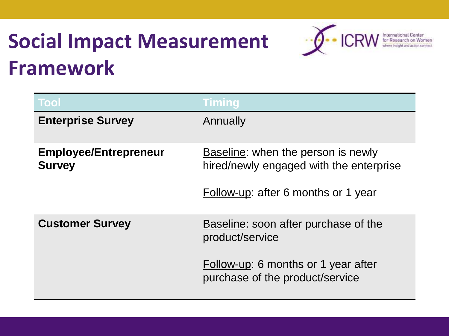## **Social Impact Measurement Framework**



| <b>Tool</b>                                   | <b>Timing</b>                                                                                                        |
|-----------------------------------------------|----------------------------------------------------------------------------------------------------------------------|
| <b>Enterprise Survey</b>                      | Annually                                                                                                             |
| <b>Employee/Entrepreneur</b><br><b>Survey</b> | Baseline: when the person is newly<br>hired/newly engaged with the enterprise<br>Follow-up: after 6 months or 1 year |
| <b>Customer Survey</b>                        | Baseline: soon after purchase of the<br>product/service                                                              |
|                                               | Follow-up: 6 months or 1 year after<br>purchase of the product/service                                               |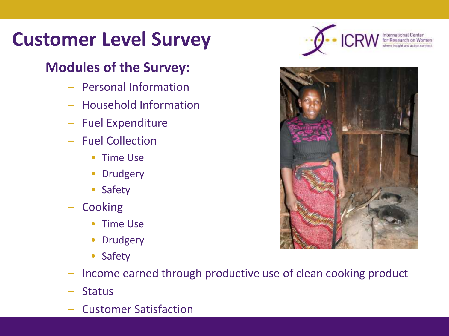## **Customer Level Survey**

#### **Modules of the Survey:**

- Personal Information
- Household Information
- Fuel Expenditure
- Fuel Collection
	- Time Use
	- Drudgery
	- Safety
- **Cooking** 
	- Time Use
	- Drudgery
	- Safety
- Income earned through productive use of clean cooking product
- **Status**
- Customer Satisfaction



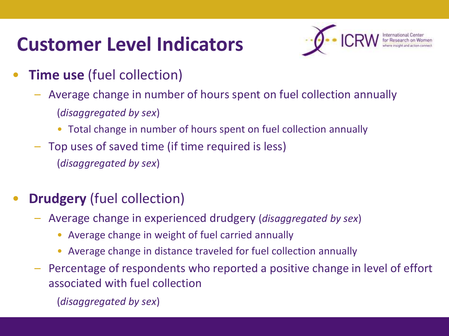## **Customer Level Indicators**



- **Time use** (fuel collection)
	- Average change in number of hours spent on fuel collection annually (*disaggregated by sex*)
		- Total change in number of hours spent on fuel collection annually
	- Top uses of saved time (if time required is less) (*disaggregated by sex*)

#### **Drudgery** (fuel collection)

- Average change in experienced drudgery (*disaggregated by sex*)
	- Average change in weight of fuel carried annually
	- Average change in distance traveled for fuel collection annually
- Percentage of respondents who reported a positive change in level of effort associated with fuel collection

(*disaggregated by sex*)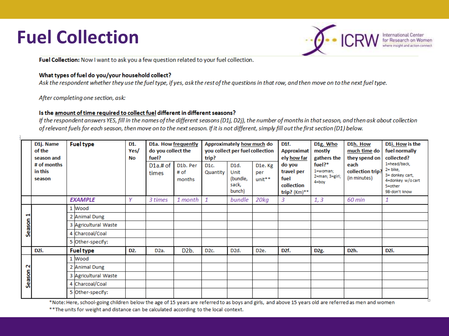## **Fuel Collection**



Fuel Collection: Now I want to ask you a few question related to your fuel collection.

#### What types of fuel do you/your household collect?

Ask the respondent whether they use the fuel type, if yes, ask the rest of the questions in that row, and then move on to the next fuel type.

After completing one section, ask:

#### Is the amount of time required to collect fuel different in different seasons?

If the respondent answers YES, fill in the names of the different seasons (D1j, D2j), the number of months in that season, and then ask about collection of relevant fuels for each season, then move on to the next season. If it is not different, simply fill out the first section (D1) below.

|             | D1j. Name<br>of the<br>season and | <b>Fuel type</b> |                                                                                                                                                                  | D1.<br>Yes/<br>No | D1a. How frequently<br>do you collect the<br>fuel? |                            | Approximately how much do<br>you collect per fuel collection<br>trip? |                                                          |                                      | D <sub>1</sub> f.<br>Approximat<br>ely how far               | D <sub>1</sub> g. Who<br>mostly<br>gathers the             | D1h. How<br>much time do<br>they spend on | D1i. How is the<br>fuel normally<br>collected?                                                 |
|-------------|-----------------------------------|------------------|------------------------------------------------------------------------------------------------------------------------------------------------------------------|-------------------|----------------------------------------------------|----------------------------|-----------------------------------------------------------------------|----------------------------------------------------------|--------------------------------------|--------------------------------------------------------------|------------------------------------------------------------|-------------------------------------------|------------------------------------------------------------------------------------------------|
|             | # of months<br>in this<br>season  |                  |                                                                                                                                                                  |                   | D1a.# of<br>times                                  | D1b. Per<br># of<br>months | D <sub>1c</sub> .<br>Quantity                                         | D <sub>1</sub> d.<br>Unit<br>(bundle,<br>sack,<br>bunch) | D <sub>1e</sub> .Kg<br>per<br>unit** | do you<br>travel per<br>fuel<br>collection<br>trip? $(Km)**$ | $fuel?$ *<br>1=woman;<br>$2 = man; 3 = girl;$<br>$4 = box$ | each<br>collection trip?<br>(in minutes)  | 1=head/back,<br>$2 =$ bike.<br>3= donkey cart,<br>4=donkey w/ocart<br>5=other<br>98-don't know |
|             |                                   |                  | <b>EXAMPLE</b>                                                                                                                                                   | γ                 | 3 times                                            | 1 month                    | 1                                                                     | bundle                                                   | 20kg                                 | 3                                                            | 1, 3                                                       | 60 min                                    | 1                                                                                              |
|             |                                   |                  | 1 Wood                                                                                                                                                           |                   |                                                    |                            |                                                                       |                                                          |                                      |                                                              |                                                            |                                           |                                                                                                |
| Season      |                                   |                  | 2 Animal Dung                                                                                                                                                    |                   |                                                    |                            |                                                                       |                                                          |                                      |                                                              |                                                            |                                           |                                                                                                |
|             |                                   |                  | 3 Agricultural Waste                                                                                                                                             |                   |                                                    |                            |                                                                       |                                                          |                                      |                                                              |                                                            |                                           |                                                                                                |
|             |                                   |                  | 4 Charcoal/Coal                                                                                                                                                  |                   |                                                    |                            |                                                                       |                                                          |                                      |                                                              |                                                            |                                           |                                                                                                |
|             |                                   |                  | 5 Other-specify:                                                                                                                                                 |                   |                                                    |                            |                                                                       |                                                          |                                      |                                                              |                                                            |                                           |                                                                                                |
|             | D <sub>2i</sub> .                 |                  | <b>Fuel type</b>                                                                                                                                                 | D <sub>2</sub> .  | D <sub>2</sub> a.                                  | D <sub>2</sub> b.          | D <sub>2c</sub>                                                       | D <sub>2d</sub> .                                        | D <sub>2</sub> e.                    | D <sub>2</sub> f.                                            | D <sub>2g</sub> .                                          | D <sub>2</sub> h.                         | D <sub>2i</sub> .                                                                              |
| N<br>Season |                                   |                  | 1 Wood                                                                                                                                                           |                   |                                                    |                            |                                                                       |                                                          |                                      |                                                              |                                                            |                                           |                                                                                                |
|             |                                   |                  | 2 Animal Dung                                                                                                                                                    |                   |                                                    |                            |                                                                       |                                                          |                                      |                                                              |                                                            |                                           |                                                                                                |
|             |                                   |                  | 3 Agricultural Waste                                                                                                                                             |                   |                                                    |                            |                                                                       |                                                          |                                      |                                                              |                                                            |                                           |                                                                                                |
|             |                                   |                  | 4 Charcoal/Coal                                                                                                                                                  |                   |                                                    |                            |                                                                       |                                                          |                                      |                                                              |                                                            |                                           |                                                                                                |
|             |                                   |                  | 5 Other-specify:<br><b>RALLER ISLAND CONTROLLED AND ALL CONTRACT CONTRACT CONTRACT IN THE CONTRACT CONTRACT ON A PRODUCT AND CONTRACT ON A STATE OF A STREET</b> |                   |                                                    |                            |                                                                       |                                                          |                                      |                                                              |                                                            |                                           |                                                                                                |

\*Note: Here, school-going children below the age of 15 years are referred to as boys and girls, and above 15 years old are referred as men and women

\*\* The units for weight and distance can be calculated according to the local context.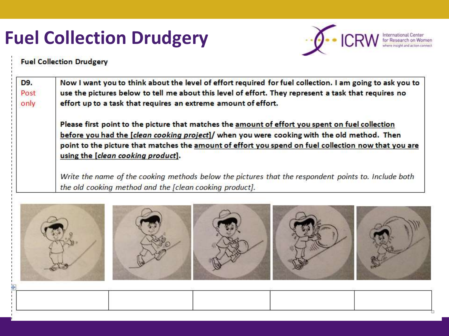## **Fuel Collection Drudgery**



**Fuel Collection Drudgery** 

| Now I want you to think about the level of effort required for fuel collection. I am going to ask you to<br>use the pictures below to tell me about this level of effort. They represent a task that requires no |  |  |  |  |  |
|------------------------------------------------------------------------------------------------------------------------------------------------------------------------------------------------------------------|--|--|--|--|--|
| effort up to a task that requires an extreme amount of effort.                                                                                                                                                   |  |  |  |  |  |
| Please first point to the picture that matches the amount of effort you spent on fuel collection                                                                                                                 |  |  |  |  |  |
| before you had the [clean cooking project]/ when you were cooking with the old method. Then                                                                                                                      |  |  |  |  |  |
| point to the picture that matches the amount of effort you spend on fuel collection now that you are<br>using the [clean cooking product].                                                                       |  |  |  |  |  |
| Write the name of the cooking methods below the pictures that the respondent points to. Include both<br>the old cooking method and the [clean cooking product].                                                  |  |  |  |  |  |
|                                                                                                                                                                                                                  |  |  |  |  |  |